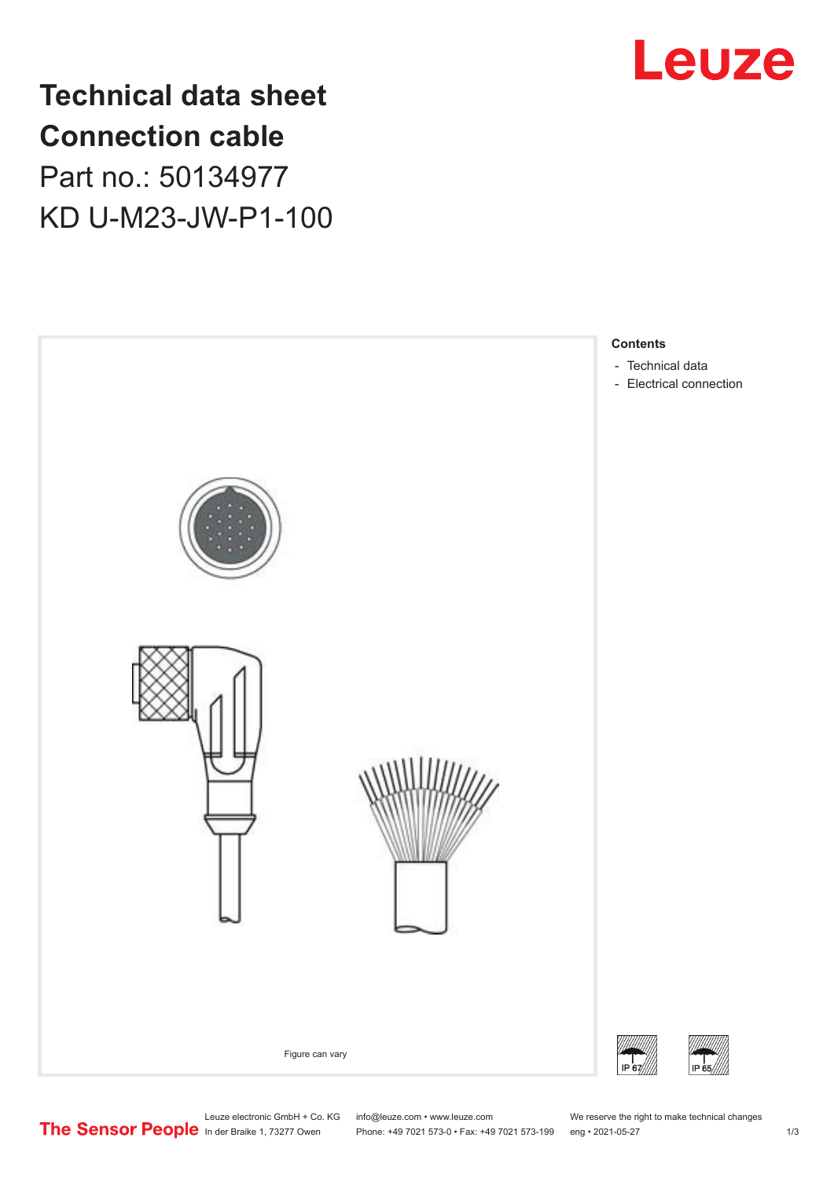

## **Technical data sheet Connection cable** Part no.: 50134977

KD U-M23-JW-P1-100



Phone: +49 7021 573-0 • Fax: +49 7021 573-199 eng • 2021-05-27 1 2021-05-27

Leuze electronic GmbH + Co. KG info@leuze.com • www.leuze.com We reserve the right to make technical changes<br>
The Sensor People in der Braike 1, 73277 Owen Phone: +49 7021 573-0 • Fax: +49 7021 573-199 eng • 2021-05-27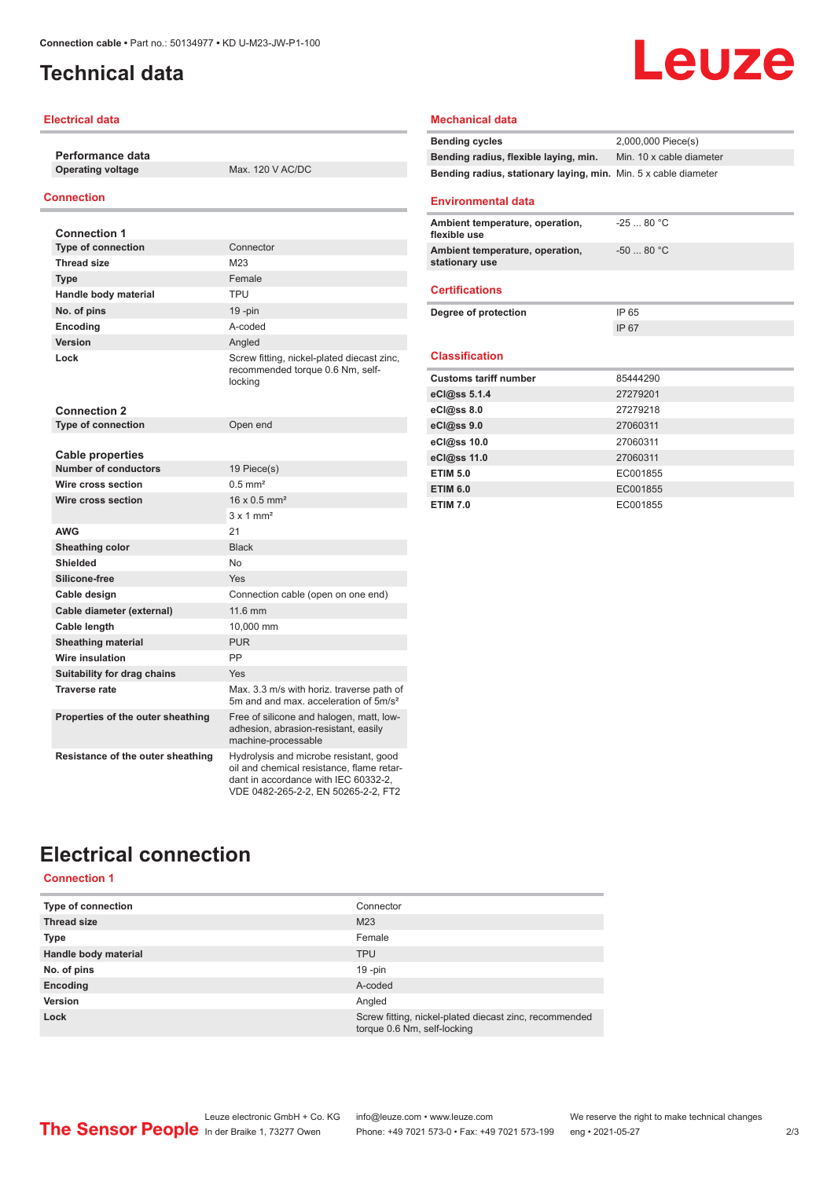## <span id="page-1-0"></span>**Technical data**

#### **Electrical data**

**Performance data Operating voltage** Max. 120 V AC/DC

### **Connection**

| <b>Connection 1</b>                                    |                                                                                                                                                                    |
|--------------------------------------------------------|--------------------------------------------------------------------------------------------------------------------------------------------------------------------|
| <b>Type of connection</b>                              | Connector                                                                                                                                                          |
| <b>Thread size</b>                                     | M23                                                                                                                                                                |
| <b>Type</b>                                            | Female                                                                                                                                                             |
| Handle body material                                   | <b>TPU</b>                                                                                                                                                         |
| No. of pins                                            | 19 - pin                                                                                                                                                           |
| Encoding                                               | A-coded                                                                                                                                                            |
| Version                                                | Angled                                                                                                                                                             |
| Lock                                                   | Screw fitting, nickel-plated diecast zinc,<br>recommended torque 0.6 Nm, self-<br>locking                                                                          |
| <b>Connection 2</b>                                    |                                                                                                                                                                    |
| <b>Type of connection</b>                              | Open end                                                                                                                                                           |
|                                                        |                                                                                                                                                                    |
| <b>Cable properties</b><br><b>Number of conductors</b> | 19 Piece(s)                                                                                                                                                        |
| Wire cross section                                     | $0.5$ mm <sup>2</sup>                                                                                                                                              |
| Wire cross section                                     | $16 \times 0.5$ mm <sup>2</sup>                                                                                                                                    |
|                                                        | $3 \times 1$ mm <sup>2</sup>                                                                                                                                       |
| <b>AWG</b>                                             | 21                                                                                                                                                                 |
| <b>Sheathing color</b>                                 | <b>Black</b>                                                                                                                                                       |
| <b>Shielded</b>                                        | No                                                                                                                                                                 |
| Silicone-free                                          | Yes                                                                                                                                                                |
| Cable design                                           | Connection cable (open on one end)                                                                                                                                 |
| Cable diameter (external)                              | 11.6 mm                                                                                                                                                            |
| Cable length                                           | 10,000 mm                                                                                                                                                          |
| <b>Sheathing material</b>                              | <b>PUR</b>                                                                                                                                                         |
| <b>Wire insulation</b>                                 | PP                                                                                                                                                                 |
| Suitability for drag chains                            | Yes                                                                                                                                                                |
| <b>Traverse rate</b>                                   | Max, 3.3 m/s with horiz, traverse path of<br>5m and and max, acceleration of 5m/s <sup>2</sup>                                                                     |
| Properties of the outer sheathing                      | Free of silicone and halogen, matt, low-<br>adhesion, abrasion-resistant, easily<br>machine-processable                                                            |
| Resistance of the outer sheathing                      | Hydrolysis and microbe resistant, good<br>oil and chemical resistance, flame retar-<br>dant in accordance with IEC 60332-2,<br>VDE 0482-265-2-2, EN 50265-2-2, FT2 |

# Leuze

#### **Mechanical data**

| <b>Bending cycles</b>                                           | 2,000,000 Piece(s)       |
|-----------------------------------------------------------------|--------------------------|
| Bending radius, flexible laying, min.                           | Min. 10 x cable diameter |
| Bending radius, stationary laying, min. Min. 5 x cable diameter |                          |
|                                                                 |                          |

#### **Environmental data**

| Ambient temperature, operation,<br>flexible use   | $-2580 °C$  |
|---------------------------------------------------|-------------|
| Ambient temperature, operation,<br>stationary use | $-50$ 80 °C |
| <b>Certifications</b>                             |             |
|                                                   |             |
| Degree of protection                              | IP 65       |
|                                                   | IP 67       |
| <b>Classification</b>                             |             |
|                                                   |             |
|                                                   |             |
| <b>Customs tariff number</b>                      | 85444290    |
| eCl@ss 5.1.4                                      | 27279201    |
| eCl@ss 8.0                                        | 27279218    |
| eCl@ss 9.0                                        | 27060311    |
| eCl@ss 10.0                                       | 27060311    |
| eCl@ss 11.0                                       | 27060311    |
| <b>ETIM 5.0</b>                                   | EC001855    |
| <b>ETIM 6.0</b>                                   | EC001855    |

## **Electrical connection**

**Connection 1**

| Type of connection   | Connector                                                                             |
|----------------------|---------------------------------------------------------------------------------------|
| <b>Thread size</b>   | M23                                                                                   |
| <b>Type</b>          | Female                                                                                |
| Handle body material | <b>TPU</b>                                                                            |
| No. of pins          | $19 - pin$                                                                            |
| Encoding             | A-coded                                                                               |
| Version              | Angled                                                                                |
| Lock                 | Screw fitting, nickel-plated diecast zinc, recommended<br>torque 0.6 Nm, self-locking |